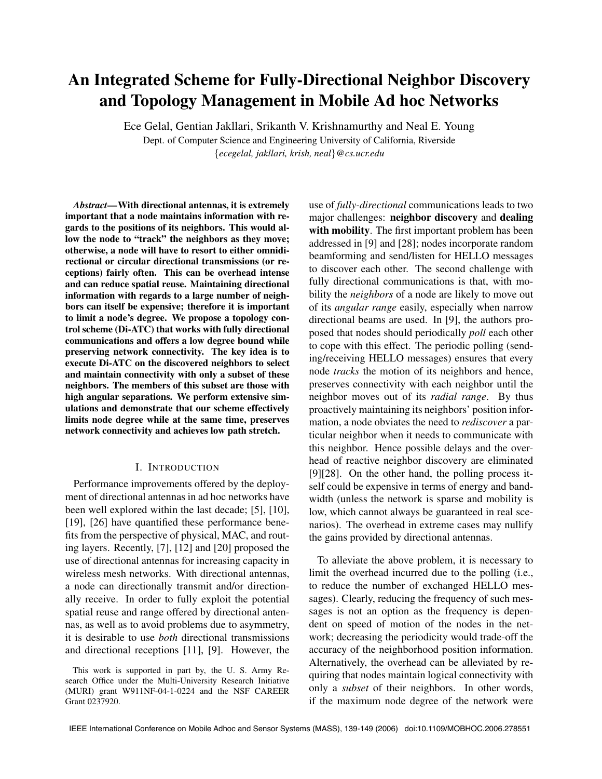# An Integrated Scheme for Fully-Directional Neighbor Discovery and Topology Management in Mobile Ad hoc Networks

Ece Gelal, Gentian Jakllari, Srikanth V. Krishnamurthy and Neal E. Young Dept. of Computer Science and Engineering University of California, Riverside *{ecegelal, jakllari, krish, neal}@cs.ucr.edu*

*Abstract*—With directional antennas, it is extremely important that a node maintains information with regards to the positions of its neighbors. This would allow the node to "track" the neighbors as they move; otherwise, a node will have to resort to either omnidirectional or circular directional transmissions (or receptions) fairly often. This can be overhead intense and can reduce spatial reuse. Maintaining directional information with regards to a large number of neighbors can itself be expensive; therefore it is important to limit a node's degree. We propose a topology control scheme (Di-ATC) that works with fully directional communications and offers a low degree bound while preserving network connectivity. The key idea is to execute Di-ATC on the discovered neighbors to select and maintain connectivity with only a subset of these neighbors. The members of this subset are those with high angular separations. We perform extensive simulations and demonstrate that our scheme effectively limits node degree while at the same time, preserves network connectivity and achieves low path stretch.

#### I. INTRODUCTION

Performance improvements offered by the deployment of directional antennas in ad hoc networks have been well explored within the last decade; [5], [10], [19], [26] have quantified these performance benefits from the perspective of physical, MAC, and routing layers. Recently, [7], [12] and [20] proposed the use of directional antennas for increasing capacity in wireless mesh networks. With directional antennas, a node can directionally transmit and/or directionally receive. In order to fully exploit the potential spatial reuse and range offered by directional antennas, as well as to avoid problems due to asymmetry, it is desirable to use *both* directional transmissions and directional receptions [11], [9]. However, the

use of *fully-directional* communications leads to two major challenges: neighbor discovery and dealing with mobility. The first important problem has been addressed in [9] and [28]; nodes incorporate random beamforming and send/listen for HELLO messages to discover each other. The second challenge with fully directional communications is that, with mobility the *neighbors* of a node are likely to move out of its *angular range* easily, especially when narrow directional beams are used. In [9], the authors proposed that nodes should periodically *poll* each other to cope with this effect. The periodic polling (sending/receiving HELLO messages) ensures that every node *tracks* the motion of its neighbors and hence, preserves connectivity with each neighbor until the neighbor moves out of its *radial range*. By thus proactively maintaining its neighbors' position information, a node obviates the need to *rediscover* a particular neighbor when it needs to communicate with this neighbor. Hence possible delays and the overhead of reactive neighbor discovery are eliminated [9][28]. On the other hand, the polling process itself could be expensive in terms of energy and bandwidth (unless the network is sparse and mobility is low, which cannot always be guaranteed in real scenarios). The overhead in extreme cases may nullify the gains provided by directional antennas.

To alleviate the above problem, it is necessary to limit the overhead incurred due to the polling (i.e., to reduce the number of exchanged HELLO messages). Clearly, reducing the frequency of such messages is not an option as the frequency is dependent on speed of motion of the nodes in the network; decreasing the periodicity would trade-off the accuracy of the neighborhood position information. Alternatively, the overhead can be alleviated by requiring that nodes maintain logical connectivity with only a *subset* of their neighbors. In other words, if the maximum node degree of the network were

This work is supported in part by, the U. S. Army Research Office under the Multi-University Research Initiative (MURI) grant W911NF-04-1-0224 and the NSF CAREER Grant 0237920.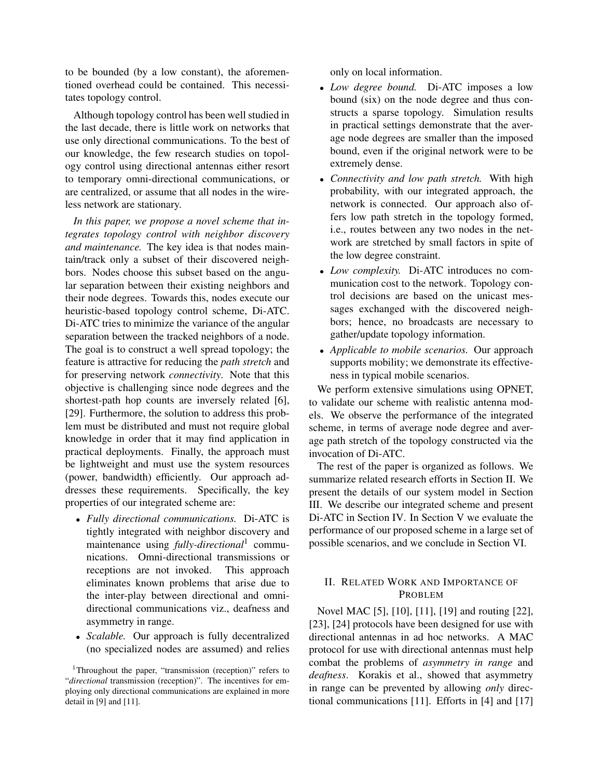to be bounded (by a low constant), the aforementioned overhead could be contained. This necessitates topology control.

Although topology control has been well studied in the last decade, there is little work on networks that use only directional communications. To the best of our knowledge, the few research studies on topology control using directional antennas either resort to temporary omni-directional communications, or are centralized, or assume that all nodes in the wireless network are stationary.

*In this paper, we propose a novel scheme that integrates topology control with neighbor discovery and maintenance.* The key idea is that nodes maintain/track only a subset of their discovered neighbors. Nodes choose this subset based on the angular separation between their existing neighbors and their node degrees. Towards this, nodes execute our heuristic-based topology control scheme, Di-ATC. Di-ATC tries to minimize the variance of the angular separation between the tracked neighbors of a node. The goal is to construct a well spread topology; the feature is attractive for reducing the *path stretch* and for preserving network *connectivity*. Note that this objective is challenging since node degrees and the shortest-path hop counts are inversely related [6], [29]. Furthermore, the solution to address this problem must be distributed and must not require global knowledge in order that it may find application in practical deployments. Finally, the approach must be lightweight and must use the system resources (power, bandwidth) efficiently. Our approach addresses these requirements. Specifically, the key properties of our integrated scheme are:

- *• Fully directional communications.* Di-ATC is tightly integrated with neighbor discovery and maintenance using *fully-directional*<sup>1</sup> communications. Omni-directional transmissions or receptions are not invoked. This approach eliminates known problems that arise due to the inter-play between directional and omnidirectional communications viz., deafness and asymmetry in range.
- *• Scalable.* Our approach is fully decentralized (no specialized nodes are assumed) and relies

only on local information.

- *• Low degree bound.* Di-ATC imposes a low bound (six) on the node degree and thus constructs a sparse topology. Simulation results in practical settings demonstrate that the average node degrees are smaller than the imposed bound, even if the original network were to be extremely dense.
- *• Connectivity and low path stretch.* With high probability, with our integrated approach, the network is connected. Our approach also offers low path stretch in the topology formed, i.e., routes between any two nodes in the network are stretched by small factors in spite of the low degree constraint.
- *• Low complexity.* Di-ATC introduces no communication cost to the network. Topology control decisions are based on the unicast messages exchanged with the discovered neighbors; hence, no broadcasts are necessary to gather/update topology information.
- *• Applicable to mobile scenarios.* Our approach supports mobility; we demonstrate its effectiveness in typical mobile scenarios.

We perform extensive simulations using OPNET, to validate our scheme with realistic antenna models. We observe the performance of the integrated scheme, in terms of average node degree and average path stretch of the topology constructed via the invocation of Di-ATC.

The rest of the paper is organized as follows. We summarize related research efforts in Section II. We present the details of our system model in Section III. We describe our integrated scheme and present Di-ATC in Section IV. In Section V we evaluate the performance of our proposed scheme in a large set of possible scenarios, and we conclude in Section VI.

# II. RELATED WORK AND IMPORTANCE OF PROBLEM

Novel MAC [5], [10], [11], [19] and routing [22], [23], [24] protocols have been designed for use with directional antennas in ad hoc networks. A MAC protocol for use with directional antennas must help combat the problems of *asymmetry in range* and *deafness*. Korakis et al., showed that asymmetry in range can be prevented by allowing *only* directional communications [11]. Efforts in [4] and [17]

<sup>&</sup>lt;sup>1</sup>Throughout the paper, "transmission (reception)" refers to "*directional* transmission (reception)". The incentives for employing only directional communications are explained in more detail in [9] and [11].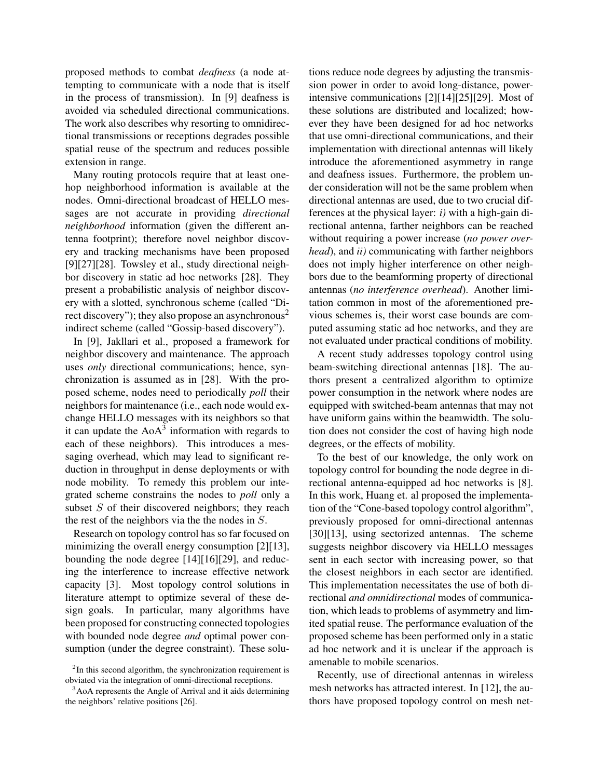proposed methods to combat *deafness* (a node attempting to communicate with a node that is itself in the process of transmission). In [9] deafness is avoided via scheduled directional communications. The work also describes why resorting to omnidirectional transmissions or receptions degrades possible spatial reuse of the spectrum and reduces possible extension in range.

Many routing protocols require that at least onehop neighborhood information is available at the nodes. Omni-directional broadcast of HELLO messages are not accurate in providing *directional neighborhood* information (given the different antenna footprint); therefore novel neighbor discovery and tracking mechanisms have been proposed [9][27][28]. Towsley et al., study directional neighbor discovery in static ad hoc networks [28]. They present a probabilistic analysis of neighbor discovery with a slotted, synchronous scheme (called "Direct discovery"); they also propose an asynchronous<sup>2</sup> indirect scheme (called "Gossip-based discovery").

In [9], Jakllari et al., proposed a framework for neighbor discovery and maintenance. The approach uses *only* directional communications; hence, synchronization is assumed as in [28]. With the proposed scheme, nodes need to periodically *poll* their neighbors for maintenance (i.e., each node would exchange HELLO messages with its neighbors so that it can update the  $AoA<sup>3</sup>$  information with regards to each of these neighbors). This introduces a messaging overhead, which may lead to significant reduction in throughput in dense deployments or with node mobility. To remedy this problem our integrated scheme constrains the nodes to *poll* only a subset *S* of their discovered neighbors; they reach the rest of the neighbors via the the nodes in *S*.

Research on topology control has so far focused on minimizing the overall energy consumption [2][13], bounding the node degree [14][16][29], and reducing the interference to increase effective network capacity [3]. Most topology control solutions in literature attempt to optimize several of these design goals. In particular, many algorithms have been proposed for constructing connected topologies with bounded node degree *and* optimal power consumption (under the degree constraint). These solutions reduce node degrees by adjusting the transmission power in order to avoid long-distance, powerintensive communications [2][14][25][29]. Most of these solutions are distributed and localized; however they have been designed for ad hoc networks that use omni-directional communications, and their implementation with directional antennas will likely introduce the aforementioned asymmetry in range and deafness issues. Furthermore, the problem under consideration will not be the same problem when directional antennas are used, due to two crucial differences at the physical layer: *i)* with a high-gain directional antenna, farther neighbors can be reached without requiring a power increase (*no power overhead*), and *ii)* communicating with farther neighbors does not imply higher interference on other neighbors due to the beamforming property of directional antennas (*no interference overhead*). Another limitation common in most of the aforementioned previous schemes is, their worst case bounds are computed assuming static ad hoc networks, and they are not evaluated under practical conditions of mobility.

A recent study addresses topology control using beam-switching directional antennas [18]. The authors present a centralized algorithm to optimize power consumption in the network where nodes are equipped with switched-beam antennas that may not have uniform gains within the beamwidth. The solution does not consider the cost of having high node degrees, or the effects of mobility.

To the best of our knowledge, the only work on topology control for bounding the node degree in directional antenna-equipped ad hoc networks is [8]. In this work, Huang et. al proposed the implementation of the "Cone-based topology control algorithm", previously proposed for omni-directional antennas [30][13], using sectorized antennas. The scheme suggests neighbor discovery via HELLO messages sent in each sector with increasing power, so that the closest neighbors in each sector are identified. This implementation necessitates the use of both directional *and omnidirectional* modes of communication, which leads to problems of asymmetry and limited spatial reuse. The performance evaluation of the proposed scheme has been performed only in a static ad hoc network and it is unclear if the approach is amenable to mobile scenarios.

Recently, use of directional antennas in wireless mesh networks has attracted interest. In [12], the authors have proposed topology control on mesh net-

 $2$ In this second algorithm, the synchronization requirement is obviated via the integration of omni-directional receptions.

<sup>&</sup>lt;sup>3</sup>AoA represents the Angle of Arrival and it aids determining the neighbors' relative positions [26].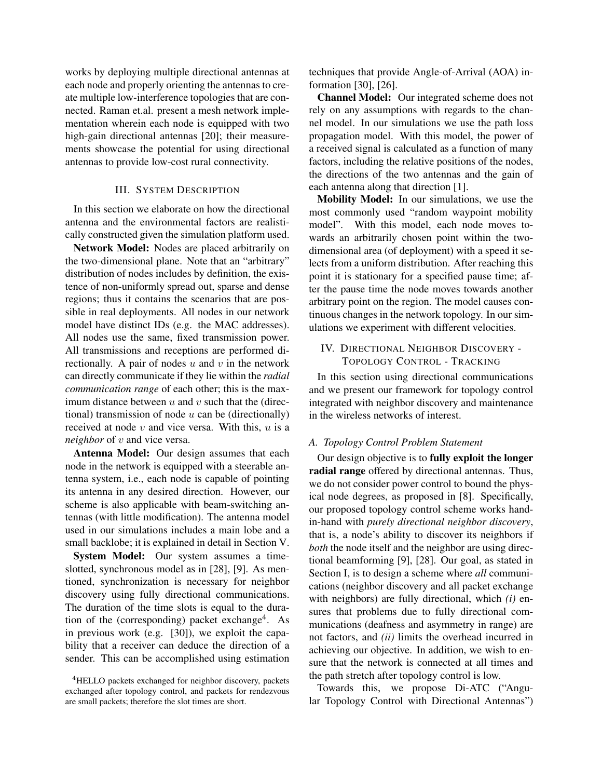works by deploying multiple directional antennas at each node and properly orienting the antennas to create multiple low-interference topologies that are connected. Raman et.al. present a mesh network implementation wherein each node is equipped with two high-gain directional antennas [20]; their measurements showcase the potential for using directional antennas to provide low-cost rural connectivity.

# III. SYSTEM DESCRIPTION

In this section we elaborate on how the directional antenna and the environmental factors are realistically constructed given the simulation platform used.

Network Model: Nodes are placed arbitrarily on the two-dimensional plane. Note that an "arbitrary" distribution of nodes includes by definition, the existence of non-uniformly spread out, sparse and dense regions; thus it contains the scenarios that are possible in real deployments. All nodes in our network model have distinct IDs (e.g. the MAC addresses). All nodes use the same, fixed transmission power. All transmissions and receptions are performed directionally. A pair of nodes *u* and *v* in the network can directly communicate if they lie within the *radial communication range* of each other; this is the maximum distance between *u* and *v* such that the (directional) transmission of node *u* can be (directionally) received at node *v* and vice versa. With this, *u* is a *neighbor* of *v* and vice versa.

Antenna Model: Our design assumes that each node in the network is equipped with a steerable antenna system, i.e., each node is capable of pointing its antenna in any desired direction. However, our scheme is also applicable with beam-switching antennas (with little modification). The antenna model used in our simulations includes a main lobe and a small backlobe; it is explained in detail in Section V.

System Model: Our system assumes a timeslotted, synchronous model as in [28], [9]. As mentioned, synchronization is necessary for neighbor discovery using fully directional communications. The duration of the time slots is equal to the duration of the (corresponding) packet exchange<sup>4</sup>. As in previous work (e.g. [30]), we exploit the capability that a receiver can deduce the direction of a sender. This can be accomplished using estimation techniques that provide Angle-of-Arrival (AOA) information [30], [26].

Channel Model: Our integrated scheme does not rely on any assumptions with regards to the channel model. In our simulations we use the path loss propagation model. With this model, the power of a received signal is calculated as a function of many factors, including the relative positions of the nodes, the directions of the two antennas and the gain of each antenna along that direction [1].

Mobility Model: In our simulations, we use the most commonly used "random waypoint mobility model". With this model, each node moves towards an arbitrarily chosen point within the twodimensional area (of deployment) with a speed it selects from a uniform distribution. After reaching this point it is stationary for a specified pause time; after the pause time the node moves towards another arbitrary point on the region. The model causes continuous changes in the network topology. In our simulations we experiment with different velocities.

# IV. DIRECTIONAL NEIGHBOR DISCOVERY - TOPOLOGY CONTROL - TRACKING

In this section using directional communications and we present our framework for topology control integrated with neighbor discovery and maintenance in the wireless networks of interest.

#### *A. Topology Control Problem Statement*

Our design objective is to fully exploit the longer radial range offered by directional antennas. Thus, we do not consider power control to bound the physical node degrees, as proposed in [8]. Specifically, our proposed topology control scheme works handin-hand with *purely directional neighbor discovery*, that is, a node's ability to discover its neighbors if *both* the node itself and the neighbor are using directional beamforming [9], [28]. Our goal, as stated in Section I, is to design a scheme where *all* communications (neighbor discovery and all packet exchange with neighbors) are fully directional, which *(i)* ensures that problems due to fully directional communications (deafness and asymmetry in range) are not factors, and *(ii)* limits the overhead incurred in achieving our objective. In addition, we wish to ensure that the network is connected at all times and the path stretch after topology control is low.

Towards this, we propose Di-ATC ("Angular Topology Control with Directional Antennas")

<sup>&</sup>lt;sup>4</sup>HELLO packets exchanged for neighbor discovery, packets exchanged after topology control, and packets for rendezvous are small packets; therefore the slot times are short.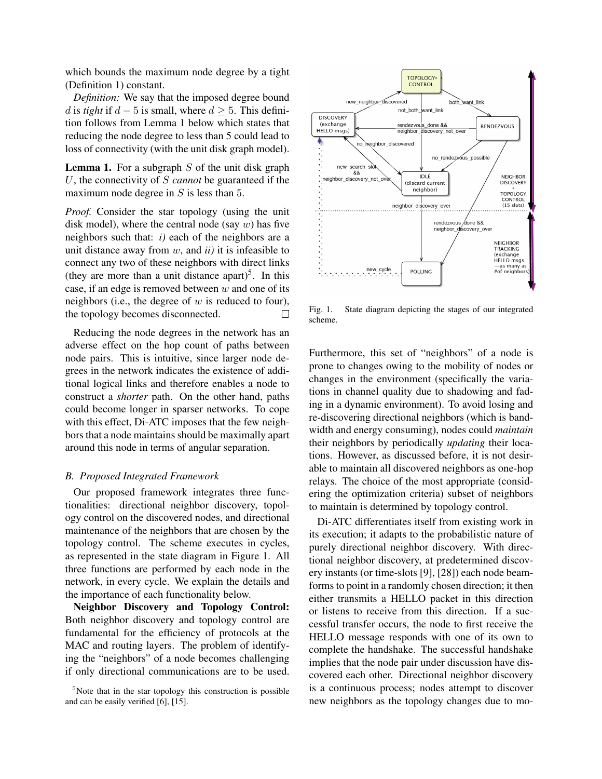which bounds the maximum node degree by a tight (Definition 1) constant.

*Definition:* We say that the imposed degree bound *d* is *tight* if  $d - 5$  is small, where  $d > 5$ . This definition follows from Lemma 1 below which states that reducing the node degree to less than 5 could lead to loss of connectivity (with the unit disk graph model).

Lemma 1. For a subgraph *S* of the unit disk graph *U*, the connectivity of *S cannot* be guaranteed if the maximum node degree in *S* is less than 5.

*Proof.* Consider the star topology (using the unit disk model), where the central node (say *w*) has five neighbors such that: *i)* each of the neighbors are a unit distance away from *w*, and *ii)* it is infeasible to connect any two of these neighbors with direct links (they are more than a unit distance apart)<sup>5</sup>. In this case, if an edge is removed between *w* and one of its neighbors (i.e., the degree of *w* is reduced to four), the topology becomes disconnected.  $\Box$ 

Reducing the node degrees in the network has an adverse effect on the hop count of paths between node pairs. This is intuitive, since larger node degrees in the network indicates the existence of additional logical links and therefore enables a node to construct a *shorter* path. On the other hand, paths could become longer in sparser networks. To cope with this effect, Di-ATC imposes that the few neighbors that a node maintains should be maximally apart around this node in terms of angular separation.

## *B. Proposed Integrated Framework*

Our proposed framework integrates three functionalities: directional neighbor discovery, topology control on the discovered nodes, and directional maintenance of the neighbors that are chosen by the topology control. The scheme executes in cycles, as represented in the state diagram in Figure 1. All three functions are performed by each node in the network, in every cycle. We explain the details and the importance of each functionality below.

Neighbor Discovery and Topology Control: Both neighbor discovery and topology control are fundamental for the efficiency of protocols at the MAC and routing layers. The problem of identifying the "neighbors" of a node becomes challenging if only directional communications are to be used.



Fig. 1. State diagram depicting the stages of our integrated scheme.

Furthermore, this set of "neighbors" of a node is prone to changes owing to the mobility of nodes or changes in the environment (specifically the variations in channel quality due to shadowing and fading in a dynamic environment). To avoid losing and re-discovering directional neighbors (which is bandwidth and energy consuming), nodes could *maintain* their neighbors by periodically *updating* their locations. However, as discussed before, it is not desirable to maintain all discovered neighbors as one-hop relays. The choice of the most appropriate (considering the optimization criteria) subset of neighbors to maintain is determined by topology control.

Di-ATC differentiates itself from existing work in its execution; it adapts to the probabilistic nature of purely directional neighbor discovery. With directional neighbor discovery, at predetermined discovery instants (or time-slots [9], [28]) each node beamforms to point in a randomly chosen direction; it then either transmits a HELLO packet in this direction or listens to receive from this direction. If a successful transfer occurs, the node to first receive the HELLO message responds with one of its own to complete the handshake. The successful handshake implies that the node pair under discussion have discovered each other. Directional neighbor discovery is a continuous process; nodes attempt to discover new neighbors as the topology changes due to mo-

 $5$ Note that in the star topology this construction is possible and can be easily verified [6], [15].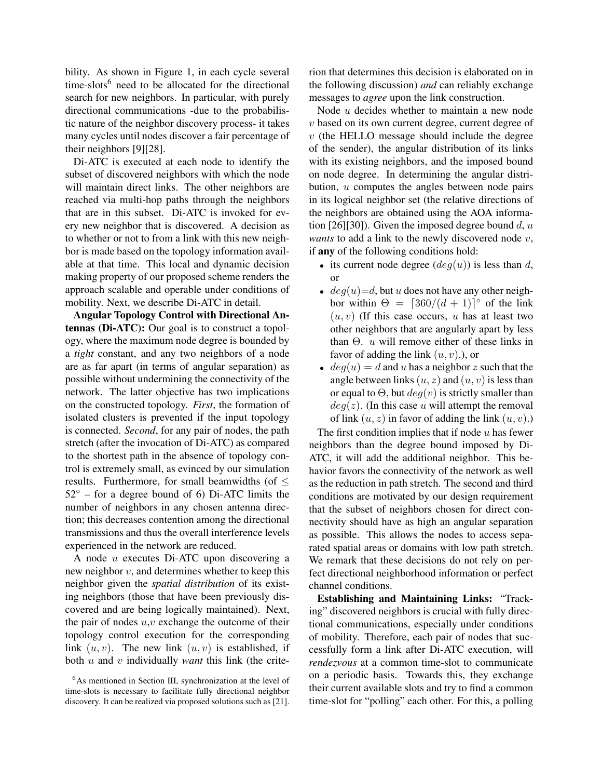bility. As shown in Figure 1, in each cycle several time-slots<sup>6</sup> need to be allocated for the directional search for new neighbors. In particular, with purely directional communications -due to the probabilistic nature of the neighbor discovery process- it takes many cycles until nodes discover a fair percentage of their neighbors [9][28].

Di-ATC is executed at each node to identify the subset of discovered neighbors with which the node will maintain direct links. The other neighbors are reached via multi-hop paths through the neighbors that are in this subset. Di-ATC is invoked for every new neighbor that is discovered. A decision as to whether or not to from a link with this new neighbor is made based on the topology information available at that time. This local and dynamic decision making property of our proposed scheme renders the approach scalable and operable under conditions of mobility. Next, we describe Di-ATC in detail.

Angular Topology Control with Directional Antennas (Di-ATC): Our goal is to construct a topology, where the maximum node degree is bounded by a *tight* constant, and any two neighbors of a node are as far apart (in terms of angular separation) as possible without undermining the connectivity of the network. The latter objective has two implications on the constructed topology. *First*, the formation of isolated clusters is prevented if the input topology is connected. *Second*, for any pair of nodes, the path stretch (after the invocation of Di-ATC) as compared to the shortest path in the absence of topology control is extremely small, as evinced by our simulation results. Furthermore, for small beamwidths (of  $\leq$  $52^{\circ}$  – for a degree bound of 6) Di-ATC limits the number of neighbors in any chosen antenna direction; this decreases contention among the directional transmissions and thus the overall interference levels experienced in the network are reduced.

A node *u* executes Di-ATC upon discovering a new neighbor *v*, and determines whether to keep this neighbor given the *spatial distribution* of its existing neighbors (those that have been previously discovered and are being logically maintained). Next, the pair of nodes *u*,*v* exchange the outcome of their topology control execution for the corresponding link  $(u, v)$ . The new link  $(u, v)$  is established, if both *u* and *v* individually *want* this link (the criterion that determines this decision is elaborated on in the following discussion) *and* can reliably exchange messages to *agree* upon the link construction.

Node *u* decides whether to maintain a new node *v* based on its own current degree, current degree of *v* (the HELLO message should include the degree of the sender), the angular distribution of its links with its existing neighbors, and the imposed bound on node degree. In determining the angular distribution, *u* computes the angles between node pairs in its logical neighbor set (the relative directions of the neighbors are obtained using the AOA information [26][30]). Given the imposed degree bound *d*, *u wants* to add a link to the newly discovered node *v*, if any of the following conditions hold:

- its current node degree  $deg(u)$ ) is less than *d*, or
- $deg(u)=d$ , but *u* does not have any other neighbor within  $\Theta = \left[360/(d+1)\right]$ ° of the link  $(u, v)$  (If this case occurs,  $u$  has at least two other neighbors that are angularly apart by less than  $\Theta$ . *u* will remove either of these links in favor of adding the link  $(u, v)$ .), or
- $deg(u) = d$  and *u* has a neighbor *z* such that the angle between links  $(u, z)$  and  $(u, v)$  is less than or equal to  $\Theta$ , but  $deg(v)$  is strictly smaller than  $deg(z)$ . (In this case  $u$  will attempt the removal of link  $(u, z)$  in favor of adding the link  $(u, v)$ .)

The first condition implies that if node *u* has fewer neighbors than the degree bound imposed by Di-ATC, it will add the additional neighbor. This behavior favors the connectivity of the network as well as the reduction in path stretch. The second and third conditions are motivated by our design requirement that the subset of neighbors chosen for direct connectivity should have as high an angular separation as possible. This allows the nodes to access separated spatial areas or domains with low path stretch. We remark that these decisions do not rely on perfect directional neighborhood information or perfect channel conditions.

Establishing and Maintaining Links: "Tracking" discovered neighbors is crucial with fully directional communications, especially under conditions of mobility. Therefore, each pair of nodes that successfully form a link after Di-ATC execution, will *rendezvous* at a common time-slot to communicate on a periodic basis. Towards this, they exchange their current available slots and try to find a common time-slot for "polling" each other. For this, a polling

 $6$ As mentioned in Section III, synchronization at the level of time-slots is necessary to facilitate fully directional neighbor discovery. It can be realized via proposed solutions such as [21].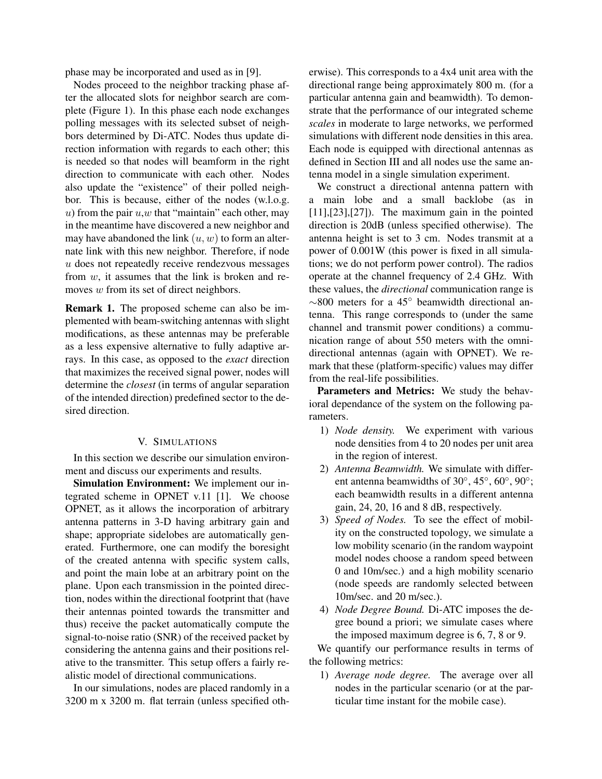phase may be incorporated and used as in [9].

Nodes proceed to the neighbor tracking phase after the allocated slots for neighbor search are complete (Figure 1). In this phase each node exchanges polling messages with its selected subset of neighbors determined by Di-ATC. Nodes thus update direction information with regards to each other; this is needed so that nodes will beamform in the right direction to communicate with each other. Nodes also update the "existence" of their polled neighbor. This is because, either of the nodes (w.l.o.g. *u*) from the pair *u*,*w* that "maintain" each other, may in the meantime have discovered a new neighbor and may have abandoned the link  $(u, w)$  to form an alternate link with this new neighbor. Therefore, if node *u* does not repeatedly receive rendezvous messages from *w*, it assumes that the link is broken and removes *w* from its set of direct neighbors.

Remark 1. The proposed scheme can also be implemented with beam-switching antennas with slight modifications, as these antennas may be preferable as a less expensive alternative to fully adaptive arrays. In this case, as opposed to the *exact* direction that maximizes the received signal power, nodes will determine the *closest* (in terms of angular separation of the intended direction) predefined sector to the desired direction.

## V. SIMULATIONS

In this section we describe our simulation environment and discuss our experiments and results.

Simulation Environment: We implement our integrated scheme in OPNET v.11 [1]. We choose OPNET, as it allows the incorporation of arbitrary antenna patterns in 3-D having arbitrary gain and shape; appropriate sidelobes are automatically generated. Furthermore, one can modify the boresight of the created antenna with specific system calls, and point the main lobe at an arbitrary point on the plane. Upon each transmission in the pointed direction, nodes within the directional footprint that (have their antennas pointed towards the transmitter and thus) receive the packet automatically compute the signal-to-noise ratio (SNR) of the received packet by considering the antenna gains and their positions relative to the transmitter. This setup offers a fairly realistic model of directional communications.

In our simulations, nodes are placed randomly in a 3200 m x 3200 m. flat terrain (unless specified otherwise). This corresponds to a 4x4 unit area with the directional range being approximately 800 m. (for a particular antenna gain and beamwidth). To demonstrate that the performance of our integrated scheme *scales* in moderate to large networks, we performed simulations with different node densities in this area. Each node is equipped with directional antennas as defined in Section III and all nodes use the same antenna model in a single simulation experiment.

We construct a directional antenna pattern with a main lobe and a small backlobe (as in  $[11],[23],[27])$ . The maximum gain in the pointed direction is 20dB (unless specified otherwise). The antenna height is set to 3 cm. Nodes transmit at a power of 0.001W (this power is fixed in all simulations; we do not perform power control). The radios operate at the channel frequency of 2.4 GHz. With these values, the *directional* communication range is  $\sim$ 800 meters for a 45 $\degree$  beamwidth directional antenna. This range corresponds to (under the same channel and transmit power conditions) a communication range of about 550 meters with the omnidirectional antennas (again with OPNET). We remark that these (platform-specific) values may differ from the real-life possibilities.

Parameters and Metrics: We study the behavioral dependance of the system on the following parameters.

- 1) *Node density.* We experiment with various node densities from 4 to 20 nodes per unit area in the region of interest.
- 2) *Antenna Beamwidth.* We simulate with different antenna beamwidths of  $30^{\circ}$ ,  $45^{\circ}$ ,  $60^{\circ}$ ,  $90^{\circ}$ ; each beamwidth results in a different antenna gain, 24, 20, 16 and 8 dB, respectively.
- 3) *Speed of Nodes.* To see the effect of mobility on the constructed topology, we simulate a low mobility scenario (in the random waypoint model nodes choose a random speed between 0 and 10m/sec.) and a high mobility scenario (node speeds are randomly selected between 10m/sec. and 20 m/sec.).
- 4) *Node Degree Bound.* Di-ATC imposes the degree bound a priori; we simulate cases where the imposed maximum degree is 6, 7, 8 or 9.

We quantify our performance results in terms of the following metrics:

1) *Average node degree.* The average over all nodes in the particular scenario (or at the particular time instant for the mobile case).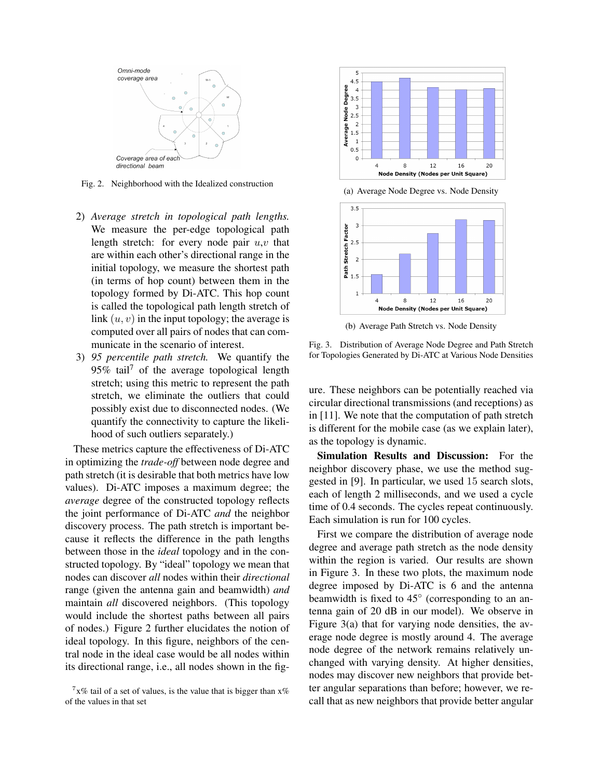

Fig. 2. Neighborhood with the Idealized construction

- 2) *Average stretch in topological path lengths.* We measure the per-edge topological path length stretch: for every node pair *u*,*v* that are within each other's directional range in the initial topology, we measure the shortest path (in terms of hop count) between them in the topology formed by Di-ATC. This hop count is called the topological path length stretch of link  $(u, v)$  in the input topology; the average is computed over all pairs of nodes that can communicate in the scenario of interest.
- 3) *95 percentile path stretch.* We quantify the 95%  $tail<sup>7</sup>$  of the average topological length stretch; using this metric to represent the path stretch, we eliminate the outliers that could possibly exist due to disconnected nodes. (We quantify the connectivity to capture the likelihood of such outliers separately.)

These metrics capture the effectiveness of Di-ATC in optimizing the *trade-off* between node degree and path stretch (it is desirable that both metrics have low values). Di-ATC imposes a maximum degree; the *average* degree of the constructed topology reflects the joint performance of Di-ATC *and* the neighbor discovery process. The path stretch is important because it reflects the difference in the path lengths between those in the *ideal* topology and in the constructed topology. By "ideal" topology we mean that nodes can discover *all* nodes within their *directional* range (given the antenna gain and beamwidth) *and* maintain *all* discovered neighbors. (This topology would include the shortest paths between all pairs of nodes.) Figure 2 further elucidates the notion of ideal topology. In this figure, neighbors of the central node in the ideal case would be all nodes within its directional range, i.e., all nodes shown in the fig-



(a) Average Node Degree vs. Node Density



(b) Average Path Stretch vs. Node Density

Fig. 3. Distribution of Average Node Degree and Path Stretch for Topologies Generated by Di-ATC at Various Node Densities

ure. These neighbors can be potentially reached via circular directional transmissions (and receptions) as in [11]. We note that the computation of path stretch is different for the mobile case (as we explain later), as the topology is dynamic.

Simulation Results and Discussion: For the neighbor discovery phase, we use the method suggested in [9]. In particular, we used 15 search slots, each of length 2 milliseconds, and we used a cycle time of 0.4 seconds. The cycles repeat continuously. Each simulation is run for 100 cycles.

First we compare the distribution of average node degree and average path stretch as the node density within the region is varied. Our results are shown in Figure 3. In these two plots, the maximum node degree imposed by Di-ATC is 6 and the antenna beamwidth is fixed to  $45^{\circ}$  (corresponding to an antenna gain of 20 dB in our model). We observe in Figure 3(a) that for varying node densities, the average node degree is mostly around 4. The average node degree of the network remains relatively unchanged with varying density. At higher densities, nodes may discover new neighbors that provide better angular separations than before; however, we recall that as new neighbors that provide better angular

 $7x\%$  tail of a set of values, is the value that is bigger than  $x\%$ of the values in that set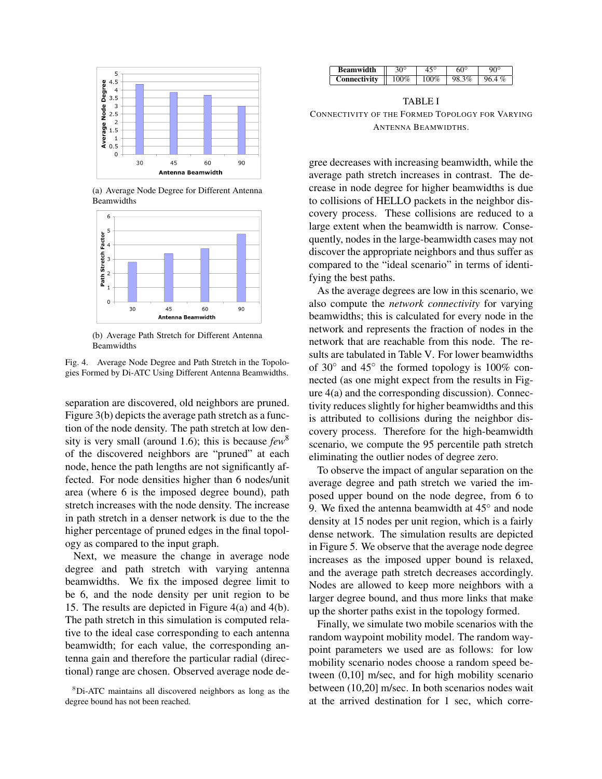

(a) Average Node Degree for Different Antenna Beamwidths



(b) Average Path Stretch for Different Antenna Beamwidths

Fig. 4. Average Node Degree and Path Stretch in the Topologies Formed by Di-ATC Using Different Antenna Beamwidths.

separation are discovered, old neighbors are pruned. Figure  $3(b)$  depicts the average path stretch as a function of the node density. The path stretch at low density is very small (around 1.6); this is because *few*<sup>8</sup> of the discovered neighbors are "pruned" at each node, hence the path lengths are not significantly affected. For node densities higher than 6 nodes/unit area (where 6 is the imposed degree bound), path stretch increases with the node density. The increase in path stretch in a denser network is due to the the higher percentage of pruned edges in the final topology as compared to the input graph.

Next, we measure the change in average node degree and path stretch with varying antenna beamwidths. We fix the imposed degree limit to be 6, and the node density per unit region to be 15. The results are depicted in Figure 4(a) and 4(b). The path stretch in this simulation is computed relative to the ideal case corresponding to each antenna beamwidth; for each value, the corresponding antenna gain and therefore the particular radial (directional) range are chosen. Observed average node de-

<sup>8</sup>Di-ATC maintains all discovered neighbors as long as the degree bound has not been reached.

| <b>Beamwidth</b> |   |    |   |
|------------------|---|----|---|
| Connectivitv     | м | 3% | % |

TABLE I CONNECTIVITY OF THE FORMED TOPOLOGY FOR VARYING ANTENNA BEAMWIDTHS.

gree decreases with increasing beamwidth, while the average path stretch increases in contrast. The decrease in node degree for higher beamwidths is due to collisions of HELLO packets in the neighbor discovery process. These collisions are reduced to a large extent when the beamwidth is narrow. Consequently, nodes in the large-beamwidth cases may not discover the appropriate neighbors and thus suffer as compared to the "ideal scenario" in terms of identifying the best paths.

As the average degrees are low in this scenario, we also compute the *network connectivity* for varying beamwidths; this is calculated for every node in the network and represents the fraction of nodes in the network that are reachable from this node. The results are tabulated in Table V. For lower beamwidths of  $30^{\circ}$  and  $45^{\circ}$  the formed topology is  $100\%$  connected (as one might expect from the results in Figure 4(a) and the corresponding discussion). Connectivity reduces slightly for higher beamwidths and this is attributed to collisions during the neighbor discovery process. Therefore for the high-beamwidth scenario, we compute the 95 percentile path stretch eliminating the outlier nodes of degree zero.

To observe the impact of angular separation on the average degree and path stretch we varied the imposed upper bound on the node degree, from 6 to 9. We fixed the antenna beamwidth at  $45^{\circ}$  and node density at 15 nodes per unit region, which is a fairly dense network. The simulation results are depicted in Figure 5. We observe that the average node degree increases as the imposed upper bound is relaxed, and the average path stretch decreases accordingly. Nodes are allowed to keep more neighbors with a larger degree bound, and thus more links that make up the shorter paths exist in the topology formed.

Finally, we simulate two mobile scenarios with the random waypoint mobility model. The random waypoint parameters we used are as follows: for low mobility scenario nodes choose a random speed between (0,10] m/sec, and for high mobility scenario between (10,20] m/sec. In both scenarios nodes wait at the arrived destination for 1 sec, which corre-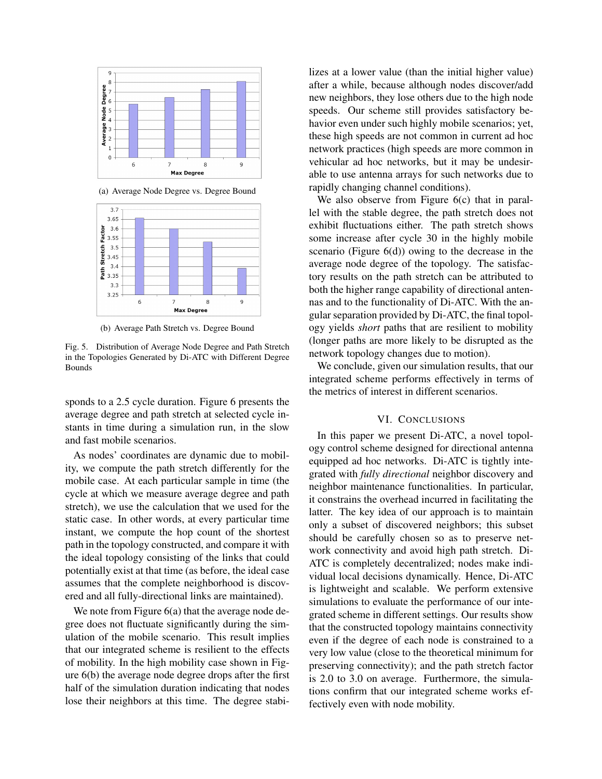

(a) Average Node Degree vs. Degree Bound



(b) Average Path Stretch vs. Degree Bound

Fig. 5. Distribution of Average Node Degree and Path Stretch in the Topologies Generated by Di-ATC with Different Degree Bounds

sponds to a 2.5 cycle duration. Figure 6 presents the average degree and path stretch at selected cycle instants in time during a simulation run, in the slow and fast mobile scenarios.

As nodes' coordinates are dynamic due to mobility, we compute the path stretch differently for the mobile case. At each particular sample in time (the cycle at which we measure average degree and path stretch), we use the calculation that we used for the static case. In other words, at every particular time instant, we compute the hop count of the shortest path in the topology constructed, and compare it with the ideal topology consisting of the links that could potentially exist at that time (as before, the ideal case assumes that the complete neighborhood is discovered and all fully-directional links are maintained).

We note from Figure 6(a) that the average node degree does not fluctuate significantly during the simulation of the mobile scenario. This result implies that our integrated scheme is resilient to the effects of mobility. In the high mobility case shown in Figure 6(b) the average node degree drops after the first half of the simulation duration indicating that nodes lose their neighbors at this time. The degree stabilizes at a lower value (than the initial higher value) after a while, because although nodes discover/add new neighbors, they lose others due to the high node speeds. Our scheme still provides satisfactory behavior even under such highly mobile scenarios; yet, these high speeds are not common in current ad hoc network practices (high speeds are more common in vehicular ad hoc networks, but it may be undesirable to use antenna arrays for such networks due to rapidly changing channel conditions).

We also observe from Figure 6(c) that in parallel with the stable degree, the path stretch does not exhibit fluctuations either. The path stretch shows some increase after cycle 30 in the highly mobile scenario (Figure 6(d)) owing to the decrease in the average node degree of the topology. The satisfactory results on the path stretch can be attributed to both the higher range capability of directional antennas and to the functionality of Di-ATC. With the angular separation provided by Di-ATC, the final topology yields *short* paths that are resilient to mobility (longer paths are more likely to be disrupted as the network topology changes due to motion).

We conclude, given our simulation results, that our integrated scheme performs effectively in terms of the metrics of interest in different scenarios.

### VI. CONCLUSIONS

In this paper we present Di-ATC, a novel topology control scheme designed for directional antenna equipped ad hoc networks. Di-ATC is tightly integrated with *fully directional* neighbor discovery and neighbor maintenance functionalities. In particular, it constrains the overhead incurred in facilitating the latter. The key idea of our approach is to maintain only a subset of discovered neighbors; this subset should be carefully chosen so as to preserve network connectivity and avoid high path stretch. Di-ATC is completely decentralized; nodes make individual local decisions dynamically. Hence, Di-ATC is lightweight and scalable. We perform extensive simulations to evaluate the performance of our integrated scheme in different settings. Our results show that the constructed topology maintains connectivity even if the degree of each node is constrained to a very low value (close to the theoretical minimum for preserving connectivity); and the path stretch factor is 2.0 to 3.0 on average. Furthermore, the simulations confirm that our integrated scheme works effectively even with node mobility.